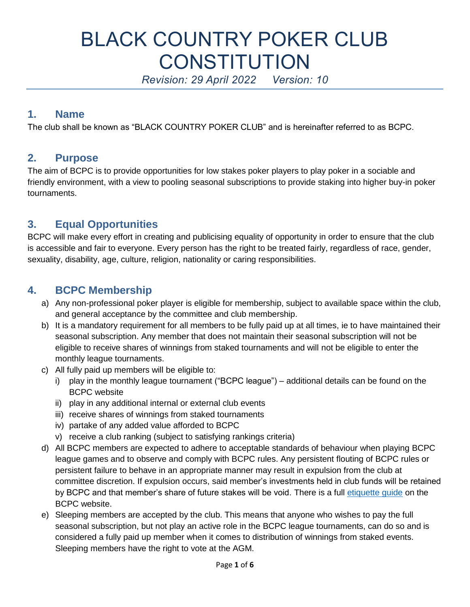# BLACK COUNTRY POKER CLUB **CONSTITUTION**

*Revision: 29 April 2022 Version: 10*

## **1. Name**

The club shall be known as "BLACK COUNTRY POKER CLUB" and is hereinafter referred to as BCPC.

## **2. Purpose**

The aim of BCPC is to provide opportunities for low stakes poker players to play poker in a sociable and friendly environment, with a view to pooling seasonal subscriptions to provide staking into higher buy-in poker tournaments.

# **3. Equal Opportunities**

BCPC will make every effort in creating and publicising equality of opportunity in order to ensure that the club is accessible and fair to everyone. Every person has the right to be treated fairly, regardless of race, gender, sexuality, disability, age, culture, religion, nationality or caring responsibilities.

# **4. BCPC Membership**

- a) Any non-professional poker player is eligible for membership, subject to available space within the club, and general acceptance by the committee and club membership.
- b) It is a mandatory requirement for all members to be fully paid up at all times, ie to have maintained their seasonal subscription. Any member that does not maintain their seasonal subscription will not be eligible to receive shares of winnings from staked tournaments and will not be eligible to enter the monthly league tournaments.
- c) All fully paid up members will be eligible to:
	- i) play in the monthly league tournament ("BCPC league") additional details can be found on the BCPC website
	- ii) play in any additional internal or external club events
	- iii) receive shares of winnings from staked tournaments
	- iv) partake of any added value afforded to BCPC
	- v) receive a club ranking (subject to satisfying rankings criteria)
- d) All BCPC members are expected to adhere to acceptable standards of behaviour when playing BCPC league games and to observe and comply with BCPC rules. Any persistent flouting of BCPC rules or persistent failure to behave in an appropriate manner may result in expulsion from the club at committee discretion. If expulsion occurs, said member's investments held in club funds will be retained by BCPC and that member's share of future stakes will be void. There is a full [etiquette guide](http://www.blackcountrypokerclub.org/home/wp-content/uploads/2016/10/BCPC-Basic-Poker-Etiquette-and-Sanctions-v1-0.docx.pdf) on the BCPC website.
- e) Sleeping members are accepted by the club. This means that anyone who wishes to pay the full seasonal subscription, but not play an active role in the BCPC league tournaments, can do so and is considered a fully paid up member when it comes to distribution of winnings from staked events. Sleeping members have the right to vote at the AGM.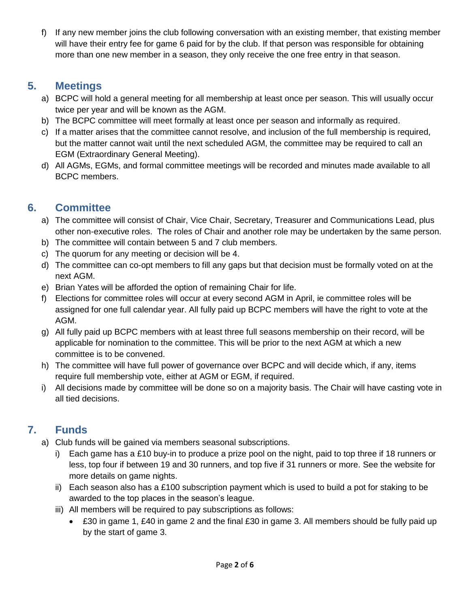f) If any new member joins the club following conversation with an existing member, that existing member will have their entry fee for game 6 paid for by the club. If that person was responsible for obtaining more than one new member in a season, they only receive the one free entry in that season.

# **5. Meetings**

- a) BCPC will hold a general meeting for all membership at least once per season. This will usually occur twice per year and will be known as the AGM.
- b) The BCPC committee will meet formally at least once per season and informally as required.
- c) If a matter arises that the committee cannot resolve, and inclusion of the full membership is required, but the matter cannot wait until the next scheduled AGM, the committee may be required to call an EGM (Extraordinary General Meeting).
- d) All AGMs, EGMs, and formal committee meetings will be recorded and minutes made available to all BCPC members.

# **6. Committee**

- a) The committee will consist of Chair, Vice Chair, Secretary, Treasurer and Communications Lead, plus other non-executive roles. The roles of Chair and another role may be undertaken by the same person.
- b) The committee will contain between 5 and 7 club members.
- c) The quorum for any meeting or decision will be 4.
- d) The committee can co-opt members to fill any gaps but that decision must be formally voted on at the next AGM.
- e) Brian Yates will be afforded the option of remaining Chair for life.
- f) Elections for committee roles will occur at every second AGM in April, ie committee roles will be assigned for one full calendar year. All fully paid up BCPC members will have the right to vote at the AGM.
- g) All fully paid up BCPC members with at least three full seasons membership on their record, will be applicable for nomination to the committee. This will be prior to the next AGM at which a new committee is to be convened.
- h) The committee will have full power of governance over BCPC and will decide which, if any, items require full membership vote, either at AGM or EGM, if required.
- i) All decisions made by committee will be done so on a majority basis. The Chair will have casting vote in all tied decisions.

# **7. Funds**

- a) Club funds will be gained via members seasonal subscriptions.
	- i) Each game has a £10 buy-in to produce a prize pool on the night, paid to top three if 18 runners or less, top four if between 19 and 30 runners, and top five if 31 runners or more. See the website for more details on game nights.
	- ii) Each season also has a £100 subscription payment which is used to build a pot for staking to be awarded to the top places in the season's league.
	- iii) All members will be required to pay subscriptions as follows:
		- £30 in game 1, £40 in game 2 and the final £30 in game 3. All members should be fully paid up by the start of game 3.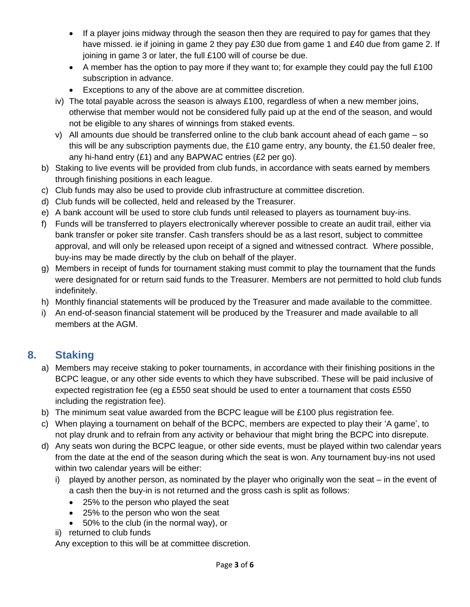- If a player joins midway through the season then they are required to pay for games that they have missed. ie if joining in game 2 they pay £30 due from game 1 and £40 due from game 2. If joining in game 3 or later, the full £100 will of course be due.
- A member has the option to pay more if they want to; for example they could pay the full £100 subscription in advance.
- Exceptions to any of the above are at committee discretion.
- iv) The total payable across the season is always £100, regardless of when a new member joins, otherwise that member would not be considered fully paid up at the end of the season, and would not be eligible to any shares of winnings from staked events.
- v) All amounts due should be transferred online to the club bank account ahead of each game so this will be any subscription payments due, the £10 game entry, any bounty, the £1.50 dealer free, any hi-hand entry (£1) and any BAPWAC entries (£2 per go).
- b) Staking to live events will be provided from club funds, in accordance with seats earned by members through finishing positions in each league.
- c) Club funds may also be used to provide club infrastructure at committee discretion.
- d) Club funds will be collected, held and released by the Treasurer.
- e) A bank account will be used to store club funds until released to players as tournament buy-ins.
- f) Funds will be transferred to players electronically wherever possible to create an audit trail, either via bank transfer or poker site transfer. Cash transfers should be as a last resort, subject to committee approval, and will only be released upon receipt of a signed and witnessed contract. Where possible, buy-ins may be made directly by the club on behalf of the player.
- g) Members in receipt of funds for tournament staking must commit to play the tournament that the funds were designated for or return said funds to the Treasurer. Members are not permitted to hold club funds indefinitely.
- h) Monthly financial statements will be produced by the Treasurer and made available to the committee.
- i) An end-of-season financial statement will be produced by the Treasurer and made available to all members at the AGM.

# **8. Staking**

- a) Members may receive staking to poker tournaments, in accordance with their finishing positions in the BCPC league, or any other side events to which they have subscribed. These will be paid inclusive of expected registration fee (eg a £550 seat should be used to enter a tournament that costs £550 including the registration fee).
- b) The minimum seat value awarded from the BCPC league will be £100 plus registration fee.
- c) When playing a tournament on behalf of the BCPC, members are expected to play their 'A game', to not play drunk and to refrain from any activity or behaviour that might bring the BCPC into disrepute.
- d) Any seats won during the BCPC league, or other side events, must be played within two calendar years from the date at the end of the season during which the seat is won. Any tournament buy-ins not used within two calendar years will be either:
	- i) played by another person, as nominated by the player who originally won the seat in the event of a cash then the buy-in is not returned and the gross cash is split as follows:
		- 25% to the person who played the seat
		- 25% to the person who won the seat
		- 50% to the club (in the normal way), or
	- ii) returned to club funds

Any exception to this will be at committee discretion.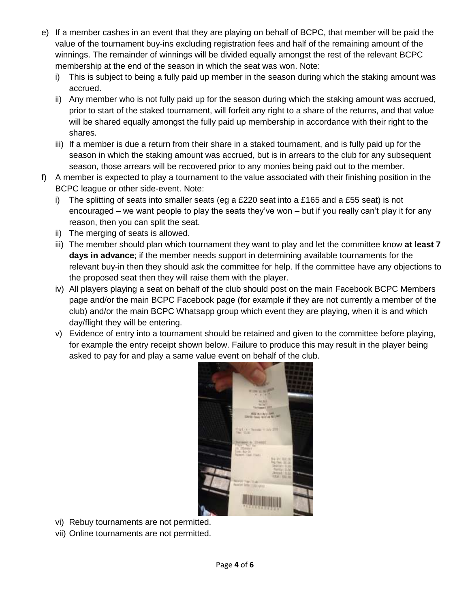- e) If a member cashes in an event that they are playing on behalf of BCPC, that member will be paid the value of the tournament buy-ins excluding registration fees and half of the remaining amount of the winnings. The remainder of winnings will be divided equally amongst the rest of the relevant BCPC membership at the end of the season in which the seat was won. Note:
	- i) This is subject to being a fully paid up member in the season during which the staking amount was accrued.
	- ii) Any member who is not fully paid up for the season during which the staking amount was accrued, prior to start of the staked tournament, will forfeit any right to a share of the returns, and that value will be shared equally amongst the fully paid up membership in accordance with their right to the shares.
	- iii) If a member is due a return from their share in a staked tournament, and is fully paid up for the season in which the staking amount was accrued, but is in arrears to the club for any subsequent season, those arrears will be recovered prior to any monies being paid out to the member.
- f) A member is expected to play a tournament to the value associated with their finishing position in the BCPC league or other side-event. Note:
	- i) The splitting of seats into smaller seats (eg a £220 seat into a £165 and a £55 seat) is not encouraged – we want people to play the seats they've won – but if you really can't play it for any reason, then you can split the seat.
	- ii) The merging of seats is allowed.
	- iii) The member should plan which tournament they want to play and let the committee know **at least 7 days in advance**; if the member needs support in determining available tournaments for the relevant buy-in then they should ask the committee for help. If the committee have any objections to the proposed seat then they will raise them with the player.
	- iv) All players playing a seat on behalf of the club should post on the main Facebook BCPC Members page and/or the main BCPC Facebook page (for example if they are not currently a member of the club) and/or the main BCPC Whatsapp group which event they are playing, when it is and which day/flight they will be entering.
	- v) Evidence of entry into a tournament should be retained and given to the committee before playing, for example the entry receipt shown below. Failure to produce this may result in the player being asked to pay for and play a same value event on behalf of the club.



- vi) Rebuy tournaments are not permitted.
- vii) Online tournaments are not permitted.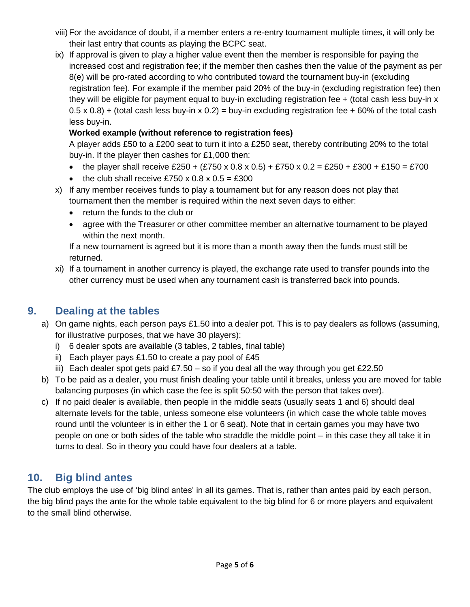- viii)For the avoidance of doubt, if a member enters a re-entry tournament multiple times, it will only be their last entry that counts as playing the BCPC seat.
- ix) If approval is given to play a higher value event then the member is responsible for paying the increased cost and registration fee; if the member then cashes then the value of the payment as per 8(e) will be pro-rated according to who contributed toward the tournament buy-in (excluding registration fee). For example if the member paid 20% of the buy-in (excluding registration fee) then they will be eligible for payment equal to buy-in excluding registration fee + (total cash less buy-in x  $(0.5 \times 0.8)$  + (total cash less buy-in x  $(0.2)$  = buy-in excluding registration fee + 60% of the total cash less buy-in.

#### **Worked example (without reference to registration fees)**

A player adds £50 to a £200 seat to turn it into a £250 seat, thereby contributing 20% to the total buy-in. If the player then cashes for £1,000 then:

- the player shall receive £250 + (£750 x 0.8 x 0.5) + £750 x 0.2 = £250 + £300 + £150 = £700
- the club shall receive £750 x  $0.8 \times 0.5 = £300$
- x) If any member receives funds to play a tournament but for any reason does not play that tournament then the member is required within the next seven days to either:
	- return the funds to the club or
	- agree with the Treasurer or other committee member an alternative tournament to be played within the next month.

If a new tournament is agreed but it is more than a month away then the funds must still be returned.

xi) If a tournament in another currency is played, the exchange rate used to transfer pounds into the other currency must be used when any tournament cash is transferred back into pounds.

## **9. Dealing at the tables**

- a) On game nights, each person pays £1.50 into a dealer pot. This is to pay dealers as follows (assuming, for illustrative purposes, that we have 30 players):
	- i) 6 dealer spots are available (3 tables, 2 tables, final table)
	- ii) Each player pays  $£1.50$  to create a pay pool of  $£45$
	- iii) Each dealer spot gets paid £7.50 so if you deal all the way through you get £22.50
- b) To be paid as a dealer, you must finish dealing your table until it breaks, unless you are moved for table balancing purposes (in which case the fee is split 50:50 with the person that takes over).
- c) If no paid dealer is available, then people in the middle seats (usually seats 1 and 6) should deal alternate levels for the table, unless someone else volunteers (in which case the whole table moves round until the volunteer is in either the 1 or 6 seat). Note that in certain games you may have two people on one or both sides of the table who straddle the middle point – in this case they all take it in turns to deal. So in theory you could have four dealers at a table.

# **10. Big blind antes**

The club employs the use of 'big blind antes' in all its games. That is, rather than antes paid by each person, the big blind pays the ante for the whole table equivalent to the big blind for 6 or more players and equivalent to the small blind otherwise.